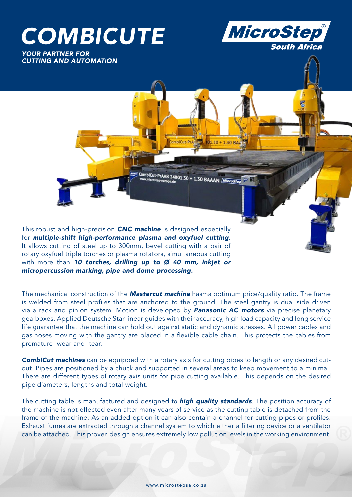# *COMBICUTE*

*YOUR PARTNER FOR CUTTING AND AUTOMATION*



| CombiCut-Praab 24001.30 + 1.30 BAAAN *| Microsto*<br>| <sup>Www.microstep-europa.de</sup>

nhifut-Pra

101.30 + 1.30 BAF

This robust and high-precision *CNC machine* is designed especially for *multiple-shift high-performance plasma and oxyfuel cutting*. It allows cutting of steel up to 300mm, bevel cutting with a pair of rotary oxyfuel triple torches or plasma rotators, simultaneous cutting with more than *10 torches, drilling up to Ø 40 mm, inkjet or micropercussion marking, pipe and dome processing.*

The mechanical construction of the *Mastercut machine* hasma optimum price/quality ratio. The frame is welded from steel profiles that are anchored to the ground. The steel gantry is dual side driven via a rack and pinion system. Motion is developed by *Panasonic AC motors* via precise planetary gearboxes. Applied Deutsche Star linear guides with their accuracy, high load capacity and long service life guarantee that the machine can hold out against static and dynamic stresses. All power cables and gas hoses moving with the gantry are placed in a flexible cable chain. This protects the cables from premature wear and tear.

*CombiCut machines* can be equipped with a rotary axis for cutting pipes to length or any desired cutout. Pipes are positioned by a chuck and supported in several areas to keep movement to a minimal. There are different types of rotary axis units for pipe cutting available. This depends on the desired pipe diameters, lengths and total weight.

The cutting table is manufactured and designed to *high quality standards*. The position accuracy of the machine is not effected even after many years of service as the cutting table is detached from the frame of the machine. As an added option it can also contain a channel for cutting pipes or profiles. Exhaust fumes are extracted through a channel system to which either a filtering device or a ventilator can be attached. This proven design ensures extremely low pollution levels in the working environment.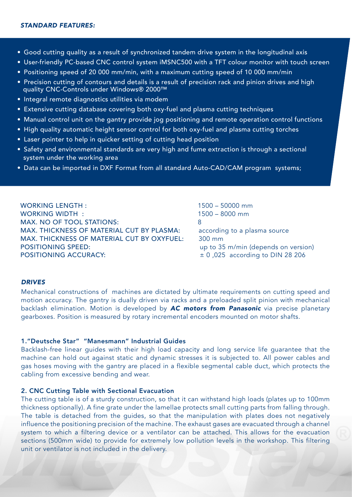- Good cutting quality as a result of synchronized tandem drive system in the longitudinal axis
- User-friendly PC-based CNC control system iMSNC500 with a TFT colour monitor with touch screen
- Positioning speed of 20 000 mm/min, with a maximum cutting speed of 10 000 mm/min
- Precision cutting of contours and details is a result of precision rack and pinion drives and high quality CNC-Controls under Windows® 2000™
- Integral remote diagnostics utilities via modem
- Extensive cutting database covering both oxy-fuel and plasma cutting techniques
- Manual control unit on the gantry provide jog positioning and remote operation control functions
- High quality automatic height sensor control for both oxy-fuel and plasma cutting torches
- Laser pointer to help in quicker setting of cutting head position
- Safety and environmental standards are very high and fume extraction is through a sectional system under the working area
- Data can be imported in DXF Format from all standard Auto-CAD/CAM program systems;

WORKING LENGTH : 1500 – 50000 mm WORKING WIDTH : 1500 – 8000 mm MAX. NO OF TOOL STATIONS: MAX. THICKNESS OF MATERIAL CUT BY PLASMA: according to a plasma source MAX. THICKNESS OF MATERIAL CUT BY OXYFUEL: 300 mm POSITIONING SPEED: up to 35 m/min (depends on version) **POSITIONING ACCURACY:**  $\pm 0.025$  according to DIN 28 206

## *DRIVES*

Mechanical constructions of machines are dictated by ultimate requirements on cutting speed and motion accuracy. The gantry is dually driven via racks and a preloaded split pinion with mechanical backlash elimination. Motion is developed by *AC motors from Panasonic* via precise planetary gearboxes. Position is measured by rotary incremental encoders mounted on motor shafts.

## 1."Deutsche Star" "Manesmann" Industrial Guides

Backlash-free linear guides with their high load capacity and long service life guarantee that the machine can hold out against static and dynamic stresses it is subjected to. All power cables and gas hoses moving with the gantry are placed in a flexible segmental cable duct, which protects the cabling from excessive bending and wear.

#### 2. CNC Cutting Table with Sectional Evacuation

The cutting table is of a sturdy construction, so that it can withstand high loads (plates up to 100mm thickness optionally). A fine grate under the lamellae protects small cutting parts from falling through. The table is detached from the guides, so that the manipulation with plates does not negatively influence the positioning precision of the machine. The exhaust gases are evacuated through a channel system to which a filtering device or a ventilator can be attached. This allows for the evacuation sections (500mm wide) to provide for extremely low pollution levels in the workshop. This filtering unit or ventilator is not included in the delivery.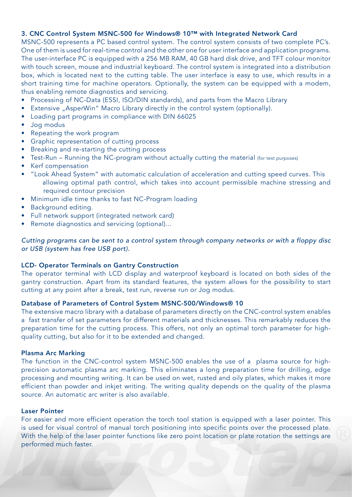## 3. CNC Control System MSNC-500 for Windows® 10™ with Integrated Network Card

MSNC-500 represents a PC based control system. The control system consists of two complete PC's. One of them is used for real-time control and the other one for user interface and application programs. The user-interface PC is equipped with a 256 MB RAM, 40 GB hard disk drive, and TFT colour monitor with touch screen, mouse and industrial keyboard. The control system is integrated into a distribution box, which is located next to the cutting table. The user interface is easy to use, which results in a short training time for machine operators. Optionally, the system can be equipped with a modem, thus enabling remote diagnostics and servicing.

- Processing of NC-Data (ESSI, ISO/DIN standards), and parts from the Macro Library
- Extensive "AsperWin" Macro Library directly in the control system (optionally).
- Loading part programs in compliance with DIN 66025
- Jog modus
- Repeating the work program
- Graphic representation of cutting process
- Breaking and re-starting the cutting process
- Test-Run Running the NC-program without actually cutting the material (for test purposes)
- Kerf compensation
- "Look Ahead System" with automatic calculation of acceleration and cutting speed curves. This allowing optimal path control, which takes into account permissible machine stressing and required contour precision
- Minimum idle time thanks to fast NC-Program loading
- Background editing.
- Full network support (integrated network card)
- Remote diagnostics and servicing (optional)...

# *Cutting programs can be sent to a control system through company networks or with a floppy disc or USB (system has free USB port).*

## LCD- Operator Terminals on Gantry Construction

The operator terminal with LCD display and waterproof keyboard is located on both sides of the gantry construction. Apart from its standard features, the system allows for the possibility to start cutting at any point after a break, test run, reverse run or Jog modus.

## Database of Parameters of Control System MSNC-500/Windows® 10

The extensive macro library with a database of parameters directly on the CNC-control system enables a fast transfer of set parameters for different materials and thicknesses. This remarkably reduces the preparation time for the cutting process. This offers, not only an optimal torch parameter for highquality cutting, but also for it to be extended and changed.

#### Plasma Arc Marking

The function in the CNC-control system MSNC-500 enables the use of a plasma source for highprecision automatic plasma arc marking. This eliminates a long preparation time for drilling, edge processing and mounting writing. It can be used on wet, rusted and oily plates, which makes it more efficient than powder and inkjet writing. The writing quality depends on the quality of the plasma source. An automatic arc writer is also available.

#### Laser Pointer

For easier and more efficient operation the torch tool station is equipped with a laser pointer. This is used for visual control of manual torch positioning into specific points over the processed plate. With the help of the laser pointer functions like zero point location or plate rotation the settings are performed much faster.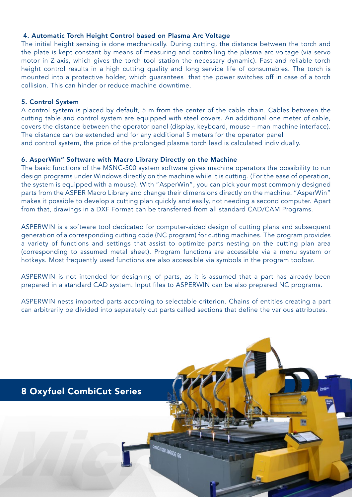# 4. Automatic Torch Height Control based on Plasma Arc Voltage

The initial height sensing is done mechanically. During cutting, the distance between the torch and the plate is kept constant by means of measuring and controlling the plasma arc voltage (via servo motor in Z-axis, which gives the torch tool station the necessary dynamic). Fast and reliable torch height control results in a high cutting quality and long service life of consumables. The torch is mounted into a protective holder, which guarantees that the power switches off in case of a torch collision. This can hinder or reduce machine downtime.

## 5. Control System

A control system is placed by default, 5 m from the center of the cable chain. Cables between the cutting table and control system are equipped with steel covers. An additional one meter of cable, covers the distance between the operator panel (display, keyboard, mouse – man machine interface). The distance can be extended and for any additional 5 meters for the operator panel and control system, the price of the prolonged plasma torch lead is calculated individually.

## 6. AsperWin" Software with Macro Library Directly on the Machine

The basic functions of the MSNC-500 system software gives machine operators the possibility to run design programs under Windows directly on the machine while it is cutting. (For the ease of operation, the system is equipped with a mouse). With "AsperWin", you can pick your most commonly designed parts from the ASPER Macro Library and change their dimensions directly on the machine. "AsperWin" makes it possible to develop a cutting plan quickly and easily, not needing a second computer. Apart from that, drawings in a DXF Format can be transferred from all standard CAD/CAM Programs.

ASPERWIN is a software tool dedicated for computer-aided design of cutting plans and subsequent generation of a corresponding cutting code (NC program) for cutting machines. The program provides a variety of functions and settings that assist to optimize parts nesting on the cutting plan area (corresponding to assumed metal sheet). Program functions are accessible via a menu system or hotkeys. Most frequently used functions are also accessible via symbols in the program toolbar.

ASPERWIN is not intended for designing of parts, as it is assumed that a part has already been prepared in a standard CAD system. Input files to ASPERWIN can be also prepared NC programs.

ASPERWIN nests imported parts according to selectable criterion. Chains of entities creating a part can arbitrarily be divided into separately cut parts called sections that define the various attributes.

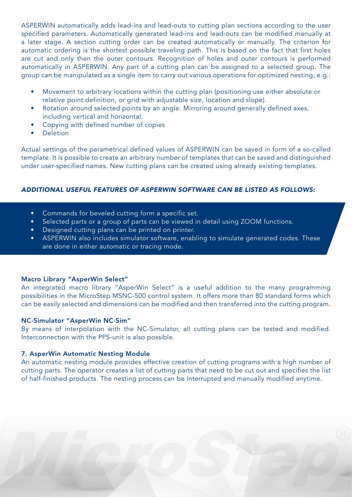ASPERWIN automatically adds lead-ins and lead-outs to cutting plan sections according to the user specified parameters. Automatically generated lead-ins and lead-outs can be modified manually at a later stage. A section cutting order can be created automatically or manually. The criterion for automatic ordering is the shortest possible traveling path. This is based on the fact that first holes are cut and only then the outer contours. Recognition of holes and outer contours is performed automatically in ASPERWIN. Any part of a cutting plan can be assigned to a selected group. The group can be manipulated as a single item to carry out various operations for optimized nesting, e.g.:

- Movement to arbitrary locations within the cutting plan (positioning use either absolute or relative point definition, or grid with adjustable size, location and slope).
- Rotation around selected points by an angle. Mirroring around generally defined axes, including vertical and horizontal.
- Copying with defined number of copies
- Deletion

Actual settings of the parametrical defined values of ASPERWIN can be saved in form of a so-called template. It is possible to create an arbitrary number of templates that can be saved and distinguished under user-specified names. New cutting plans can be created using already existing templates.

# *ADDITIONAL USEFUL FEATURES OF ASPERWIN SOFTWARE CAN BE LISTED AS FOLLOWS:*

- Commands for beveled cutting form a specific set.
- Selected parts or a group of parts can be viewed in detail using ZOOM functions.
- Designed cutting plans can be printed on printer.
- ASPERWIN also includes simulator software, enabling to simulate generated codes. These are done in either automatic or tracing mode.

## Macro Library "AsperWin Select"

An integrated macro library "AsperWin Select" is a useful addition to the many programming possibilities in the MicroStep MSNC-500 control system. It offers more than 80 standard forms which can be easily selected and dimensions can be modified and then transferred into the cutting program.

## NC-Simulator "AsperWin NC-Sim"

By means of interpolation with the NC-Simulator, all cutting plans can be tested and modified. Interconnection with the PPS-unit is also possible.

# 7. AsperWin Automatic Nesting Module

An automatic nesting module provides effective creation of cutting programs with a high number of cutting parts. The operator creates a list of cutting parts that need to be cut out and specifies the list of half-finished products. The nesting process can be interrupted and manually modified anytime.